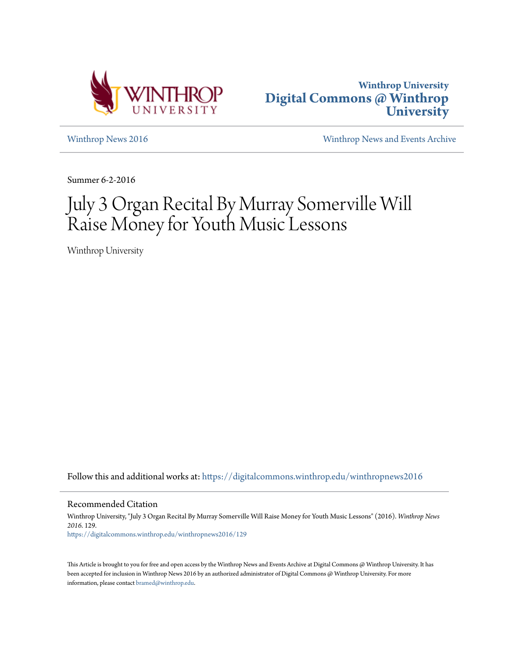



[Winthrop News 2016](https://digitalcommons.winthrop.edu/winthropnews2016?utm_source=digitalcommons.winthrop.edu%2Fwinthropnews2016%2F129&utm_medium=PDF&utm_campaign=PDFCoverPages) [Winthrop News and Events Archive](https://digitalcommons.winthrop.edu/winthropnewsarchives?utm_source=digitalcommons.winthrop.edu%2Fwinthropnews2016%2F129&utm_medium=PDF&utm_campaign=PDFCoverPages)

Summer 6-2-2016

# July 3 Organ Recital By Murray Somerville Will Raise Money for Youth Music Lessons

Winthrop University

Follow this and additional works at: [https://digitalcommons.winthrop.edu/winthropnews2016](https://digitalcommons.winthrop.edu/winthropnews2016?utm_source=digitalcommons.winthrop.edu%2Fwinthropnews2016%2F129&utm_medium=PDF&utm_campaign=PDFCoverPages)

Recommended Citation

Winthrop University, "July 3 Organ Recital By Murray Somerville Will Raise Money for Youth Music Lessons" (2016). *Winthrop News 2016*. 129. [https://digitalcommons.winthrop.edu/winthropnews2016/129](https://digitalcommons.winthrop.edu/winthropnews2016/129?utm_source=digitalcommons.winthrop.edu%2Fwinthropnews2016%2F129&utm_medium=PDF&utm_campaign=PDFCoverPages)

This Article is brought to you for free and open access by the Winthrop News and Events Archive at Digital Commons @ Winthrop University. It has been accepted for inclusion in Winthrop News 2016 by an authorized administrator of Digital Commons @ Winthrop University. For more information, please contact [bramed@winthrop.edu](mailto:bramed@winthrop.edu).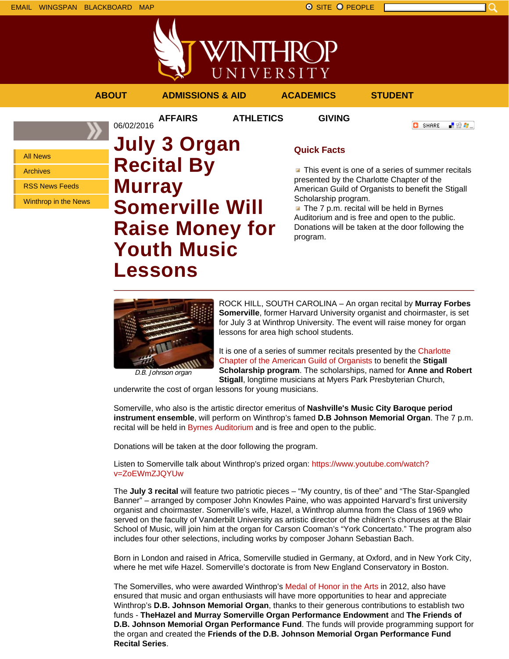

**AFFAIRS ATHLETICS GIVING**

**ABOUT ADMISSIONS & AID ACADEMICS STUDENT**

**O** SHARE

■金々。

All News

Archives

RSS News Feeds

Winthrop in the News

## 06/02/2016 **July 3 Organ Recital By Murray Somerville Will Raise Money for Youth Music Lessons**

### **Quick Facts**

**This event is one of a series of summer recitals** presented by the Charlotte Chapter of the American Guild of Organists to benefit the Stigall Scholarship program.

The 7 p.m. recital will be held in Byrnes Auditorium and is free and open to the public. Donations will be taken at the door following the program.



D.B. Johnson organ

ROCK HILL, SOUTH CAROLINA – An organ recital by **Murray Forbes Somerville**, former Harvard University organist and choirmaster, is set for July 3 at Winthrop University. The event will raise money for organ lessons for area high school students.

It is one of a series of summer recitals presented by the Charlotte Chapter of the American Guild of Organists to benefit the **Stigall Scholarship program**. The scholarships, named for **Anne and Robert Stigall**, longtime musicians at Myers Park Presbyterian Church,

underwrite the cost of organ lessons for young musicians.

Somerville, who also is the artistic director emeritus of **Nashville's Music City Baroque period instrument ensemble**, will perform on Winthrop's famed **D.B Johnson Memorial Organ**. The 7 p.m. recital will be held in Byrnes Auditorium and is free and open to the public.

Donations will be taken at the door following the program.

Listen to Somerville talk about Winthrop's prized organ: https://www.youtube.com/watch? v=ZoEWmZJQYUw

The **July 3 recital** will feature two patriotic pieces – "My country, tis of thee" and "The Star-Spangled Banner" – arranged by composer John Knowles Paine, who was appointed Harvard's first university organist and choirmaster. Somerville's wife, Hazel, a Winthrop alumna from the Class of 1969 who served on the faculty of Vanderbilt University as artistic director of the children's choruses at the Blair School of Music, will join him at the organ for Carson Cooman's "York Concertato." The program also includes four other selections, including works by composer Johann Sebastian Bach.

Born in London and raised in Africa, Somerville studied in Germany, at Oxford, and in New York City, where he met wife Hazel. Somerville's doctorate is from New England Conservatory in Boston.

The Somervilles, who were awarded Winthrop's Medal of Honor in the Arts in 2012, also have ensured that music and organ enthusiasts will have more opportunities to hear and appreciate Winthrop's **D.B. Johnson Memorial Organ**, thanks to their generous contributions to establish two funds - **TheHazel and Murray Somerville Organ Performance Endowment** and **The Friends of D.B. Johnson Memorial Organ Performance Fund**. The funds will provide programming support for the organ and created the **Friends of the D.B. Johnson Memorial Organ Performance Fund Recital Series**.